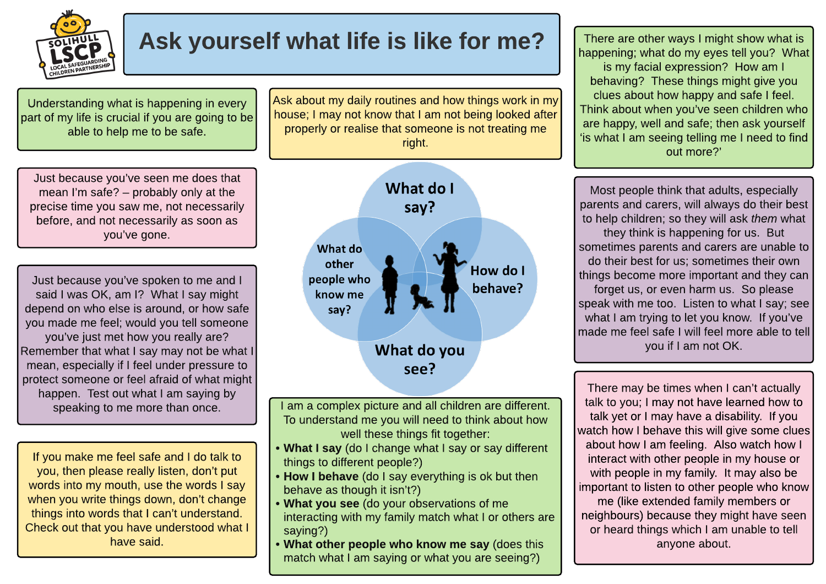

## Ask yourself what life is like for me? I Finance are other ways I might show what is

Understanding what is happening in every part of my life is crucial if you are going to be able to help me to be safe.

Ask about my daily routines and how things work in my house; I may not know that I am not being looked after properly or realise that someone is not treating me right.

Just because you?ve seen me does that mean I'm safe?  $-$  probably only at the precise time you saw me, not necessarily before, and not necessarily as soon as you?ve gone.

Just because you?ve spoken to me and I said I was OK, am I? What I say might depend on who else is around, or how safe you made me feel; would you tell someone you?ve just met how you really are? Remember that what I say may not be what I mean, especially if I feel under pressure to protect someone or feel afraid of what might happen. Test out what I am saying by speaking to me more than once.

If you make me feel safe and I do talk to you, then please really listen, don't put words into my mouth, use the words I say when you write things down, don't change things into words that I can?t understand. Check out that you have understood what I have said.



I am a complex picture and all children are different. To understand me you will need to think about how well these things fit together:

- What I say (do I change what I say or say different things to different people?)
- How I behave (do I say everything is ok but then behave as though it isn't?)
- What you see (do your observations of me interacting with my family match what I or others are saying?)
- What other people who know me say (does this match what I am saying or what you are seeing?)

happening; what do my eyes tell you? What is my facial expression? How am I behaving? These things might give you clues about how happy and safe I feel. Think about when you?ve seen children who are happy, well and safe; then ask yourself 'is what I am seeing telling me I need to find out more??

Most people think that adults, especially parents and carers, will always do their best to help children; so they will ask **them** what they think is happening for us. But sometimes parents and carers are unable to do their best for us; sometimes their own things become more important and they can forget us, or even harm us. So please speak with me too. Listen to what I say; see what I am trying to let you know. If you've made me feel safe I will feel more able to tell you if I am not OK.

There may be times when I can't actually talk to you; I may not have learned how to talk yet or I may have a disability. If you watch how I behave this will give some clues about how Iam feeling. Also watch how I interact with other people in my house or with people in my family. It may also be important to listen to other people who know me (like extended family members or neighbours) because they might have seen or heard things which I am unable to tell anyone about.